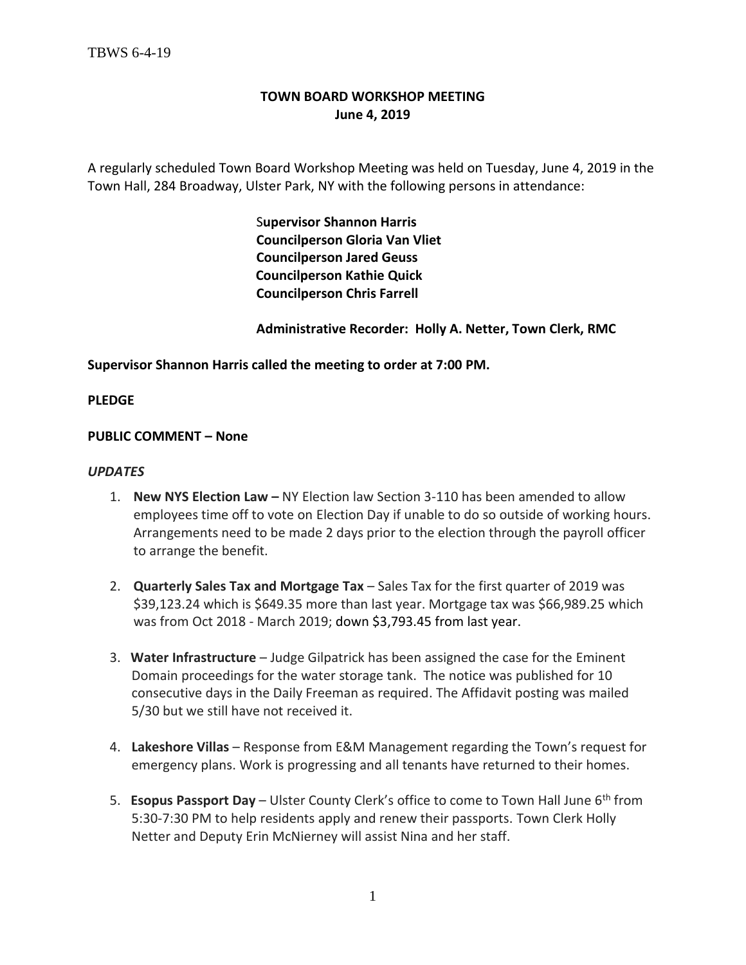# **TOWN BOARD WORKSHOP MEETING June 4, 2019**

A regularly scheduled Town Board Workshop Meeting was held on Tuesday, June 4, 2019 in the Town Hall, 284 Broadway, Ulster Park, NY with the following persons in attendance:

> S**upervisor Shannon Harris Councilperson Gloria Van Vliet Councilperson Jared Geuss Councilperson Kathie Quick Councilperson Chris Farrell**

 **Administrative Recorder: Holly A. Netter, Town Clerk, RMC**

**Supervisor Shannon Harris called the meeting to order at 7:00 PM.** 

**PLEDGE**

#### **PUBLIC COMMENT – None**

#### *UPDATES*

- 1. **New NYS Election Law –** NY Election law Section 3-110 has been amended to allow employees time off to vote on Election Day if unable to do so outside of working hours. Arrangements need to be made 2 days prior to the election through the payroll officer to arrange the benefit.
- 2. **Quarterly Sales Tax and Mortgage Tax** Sales Tax for the first quarter of 2019 was \$39,123.24 which is \$649.35 more than last year. Mortgage tax was \$66,989.25 which was from Oct 2018 - March 2019; down \$3,793.45 from last year.
- 3. **Water Infrastructure** Judge Gilpatrick has been assigned the case for the Eminent Domain proceedings for the water storage tank. The notice was published for 10 consecutive days in the Daily Freeman as required. The Affidavit posting was mailed 5/30 but we still have not received it.
- 4. **Lakeshore Villas** Response from E&M Management regarding the Town's request for emergency plans. Work is progressing and all tenants have returned to their homes.
- 5. **Esopus Passport Day** Ulster County Clerk's office to come to Town Hall June 6th from 5:30-7:30 PM to help residents apply and renew their passports. Town Clerk Holly Netter and Deputy Erin McNierney will assist Nina and her staff.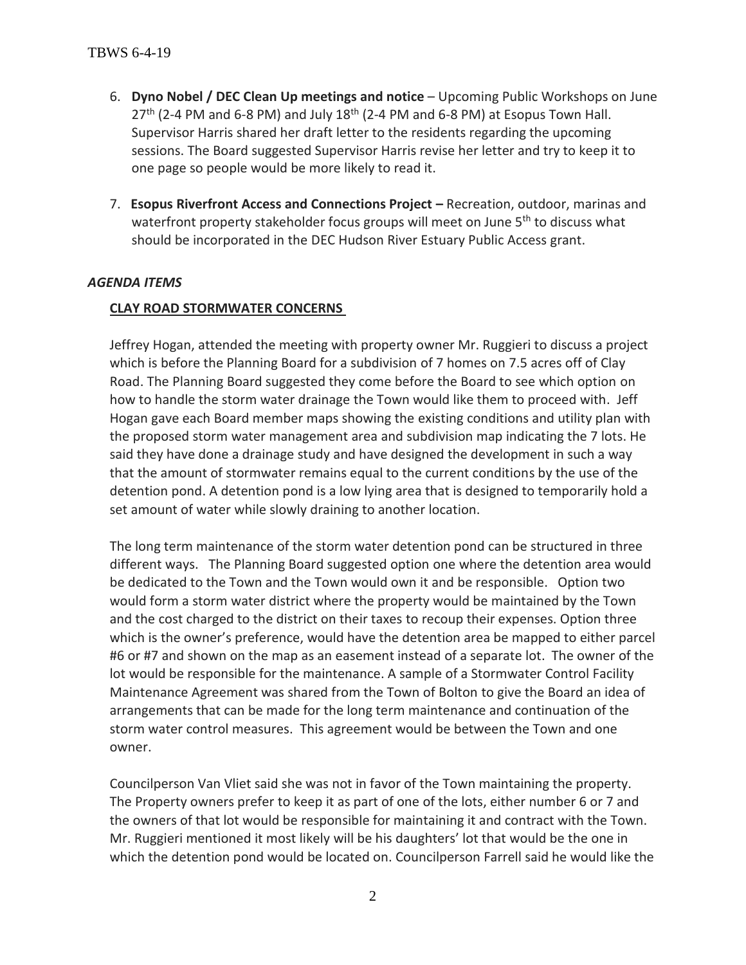- 6. **Dyno Nobel / DEC Clean Up meetings and notice** Upcoming Public Workshops on June  $27<sup>th</sup>$  (2-4 PM and 6-8 PM) and July  $18<sup>th</sup>$  (2-4 PM and 6-8 PM) at Esopus Town Hall. Supervisor Harris shared her draft letter to the residents regarding the upcoming sessions. The Board suggested Supervisor Harris revise her letter and try to keep it to one page so people would be more likely to read it.
- 7. **Esopus Riverfront Access and Connections Project -** Recreation, outdoor, marinas and waterfront property stakeholder focus groups will meet on June 5<sup>th</sup> to discuss what should be incorporated in the DEC Hudson River Estuary Public Access grant.

#### *AGENDA ITEMS*

#### **CLAY ROAD STORMWATER CONCERNS**

Jeffrey Hogan, attended the meeting with property owner Mr. Ruggieri to discuss a project which is before the Planning Board for a subdivision of 7 homes on 7.5 acres off of Clay Road. The Planning Board suggested they come before the Board to see which option on how to handle the storm water drainage the Town would like them to proceed with. Jeff Hogan gave each Board member maps showing the existing conditions and utility plan with the proposed storm water management area and subdivision map indicating the 7 lots. He said they have done a drainage study and have designed the development in such a way that the amount of stormwater remains equal to the current conditions by the use of the detention pond. A detention pond is a low lying area that is designed to temporarily hold a set amount of water while slowly draining to another location.

The long term maintenance of the storm water detention pond can be structured in three different ways. The Planning Board suggested option one where the detention area would be dedicated to the Town and the Town would own it and be responsible. Option two would form a storm water district where the property would be maintained by the Town and the cost charged to the district on their taxes to recoup their expenses. Option three which is the owner's preference, would have the detention area be mapped to either parcel #6 or #7 and shown on the map as an easement instead of a separate lot. The owner of the lot would be responsible for the maintenance. A sample of a Stormwater Control Facility Maintenance Agreement was shared from the Town of Bolton to give the Board an idea of arrangements that can be made for the long term maintenance and continuation of the storm water control measures. This agreement would be between the Town and one owner.

Councilperson Van Vliet said she was not in favor of the Town maintaining the property. The Property owners prefer to keep it as part of one of the lots, either number 6 or 7 and the owners of that lot would be responsible for maintaining it and contract with the Town. Mr. Ruggieri mentioned it most likely will be his daughters' lot that would be the one in which the detention pond would be located on. Councilperson Farrell said he would like the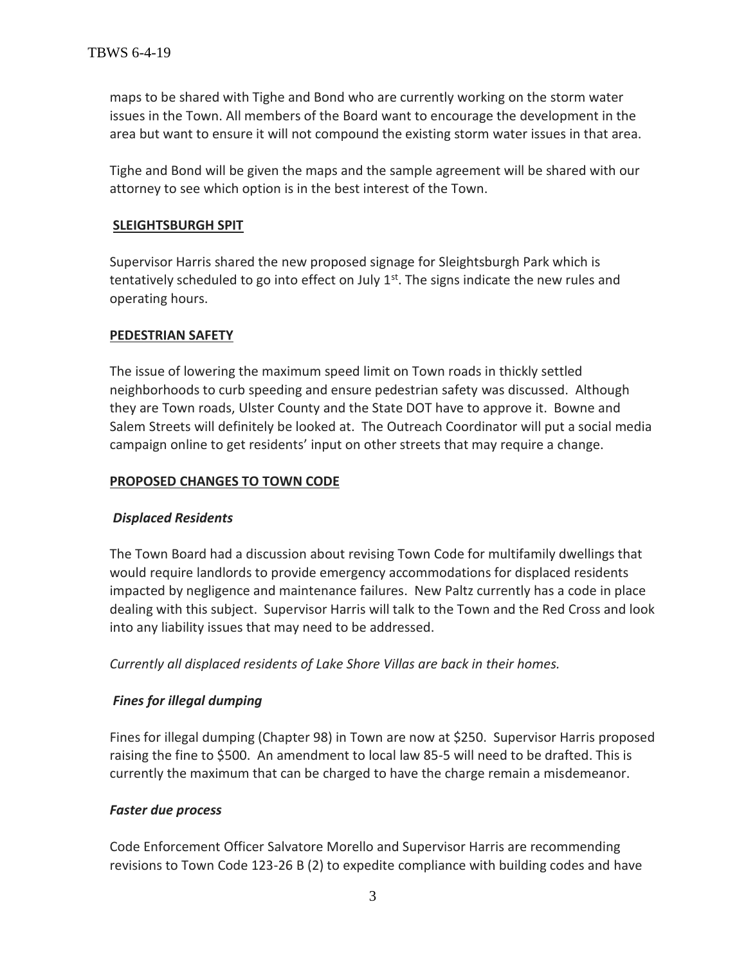maps to be shared with Tighe and Bond who are currently working on the storm water issues in the Town. All members of the Board want to encourage the development in the area but want to ensure it will not compound the existing storm water issues in that area.

Tighe and Bond will be given the maps and the sample agreement will be shared with our attorney to see which option is in the best interest of the Town.

### **SLEIGHTSBURGH SPIT**

Supervisor Harris shared the new proposed signage for Sleightsburgh Park which is tentatively scheduled to go into effect on July  $1<sup>st</sup>$ . The signs indicate the new rules and operating hours.

### **PEDESTRIAN SAFETY**

The issue of lowering the maximum speed limit on Town roads in thickly settled neighborhoods to curb speeding and ensure pedestrian safety was discussed. Although they are Town roads, Ulster County and the State DOT have to approve it. Bowne and Salem Streets will definitely be looked at. The Outreach Coordinator will put a social media campaign online to get residents' input on other streets that may require a change.

### **PROPOSED CHANGES TO TOWN CODE**

### *Displaced Residents*

The Town Board had a discussion about revising Town Code for multifamily dwellings that would require landlords to provide emergency accommodations for displaced residents impacted by negligence and maintenance failures. New Paltz currently has a code in place dealing with this subject. Supervisor Harris will talk to the Town and the Red Cross and look into any liability issues that may need to be addressed.

*Currently all displaced residents of Lake Shore Villas are back in their homes.* 

## *Fines for illegal dumping*

Fines for illegal dumping (Chapter 98) in Town are now at \$250. Supervisor Harris proposed raising the fine to \$500. An amendment to local law 85-5 will need to be drafted. This is currently the maximum that can be charged to have the charge remain a misdemeanor.

### *Faster due process*

Code Enforcement Officer Salvatore Morello and Supervisor Harris are recommending revisions to Town Code 123-26 B (2) to expedite compliance with building codes and have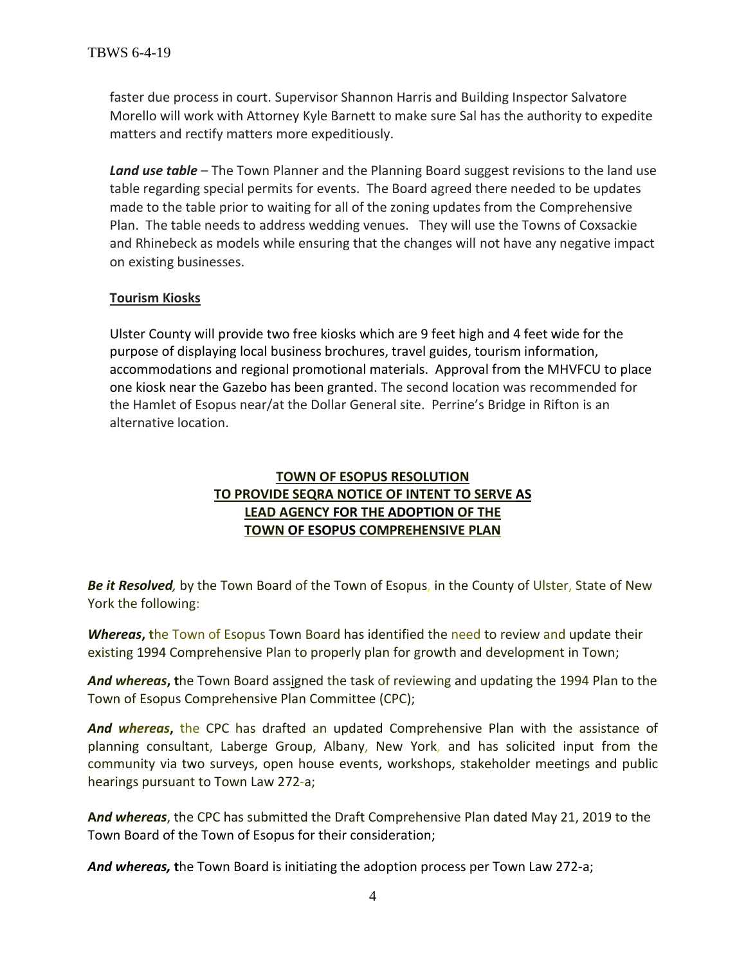faster due process in court. Supervisor Shannon Harris and Building Inspector Salvatore Morello will work with Attorney Kyle Barnett to make sure Sal has the authority to expedite matters and rectify matters more expeditiously.

*Land use table* – The Town Planner and the Planning Board suggest revisions to the land use table regarding special permits for events. The Board agreed there needed to be updates made to the table prior to waiting for all of the zoning updates from the Comprehensive Plan. The table needs to address wedding venues. They will use the Towns of Coxsackie and Rhinebeck as models while ensuring that the changes will not have any negative impact on existing businesses.

### **Tourism Kiosks**

Ulster County will provide two free kiosks which are 9 feet high and 4 feet wide for the purpose of displaying local business brochures, travel guides, tourism information, accommodations and regional promotional materials. Approval from the MHVFCU to place one kiosk near the Gazebo has been granted. The second location was recommended for the Hamlet of Esopus near/at the Dollar General site. Perrine's Bridge in Rifton is an alternative location.

# **TOWN OF ESOPUS RESOLUTION TO PROVIDE SEQRA NOTICE OF INTENT TO SERVE AS LEAD AGENCY FOR THE ADOPTION OF THE TOWN OF ESOPUS COMPREHENSIVE PLAN**

*Be it Resolved,* by the Town Board of the Town of Esopus, in the County of Ulster, State of New York the following:

*Whereas***, t**he Town of Esopus Town Board has identified the need to review and update their existing 1994 Comprehensive Plan to properly plan for growth and development in Town;

*And whereas***, t**he Town Board assigned the task of reviewing and updating the 1994 Plan to the Town of Esopus Comprehensive Plan Committee (CPC);

*And whereas***,** the CPC has drafted an updated Comprehensive Plan with the assistance of planning consultant, Laberge Group, Albany, New York, and has solicited input from the community via two surveys, open house events, workshops, stakeholder meetings and public hearings pursuant to Town Law 272-a;

**A***nd whereas*, the CPC has submitted the Draft Comprehensive Plan dated May 21, 2019 to the Town Board of the Town of Esopus for their consideration;

*And whereas,* **t**he Town Board is initiating the adoption process per Town Law 272-a;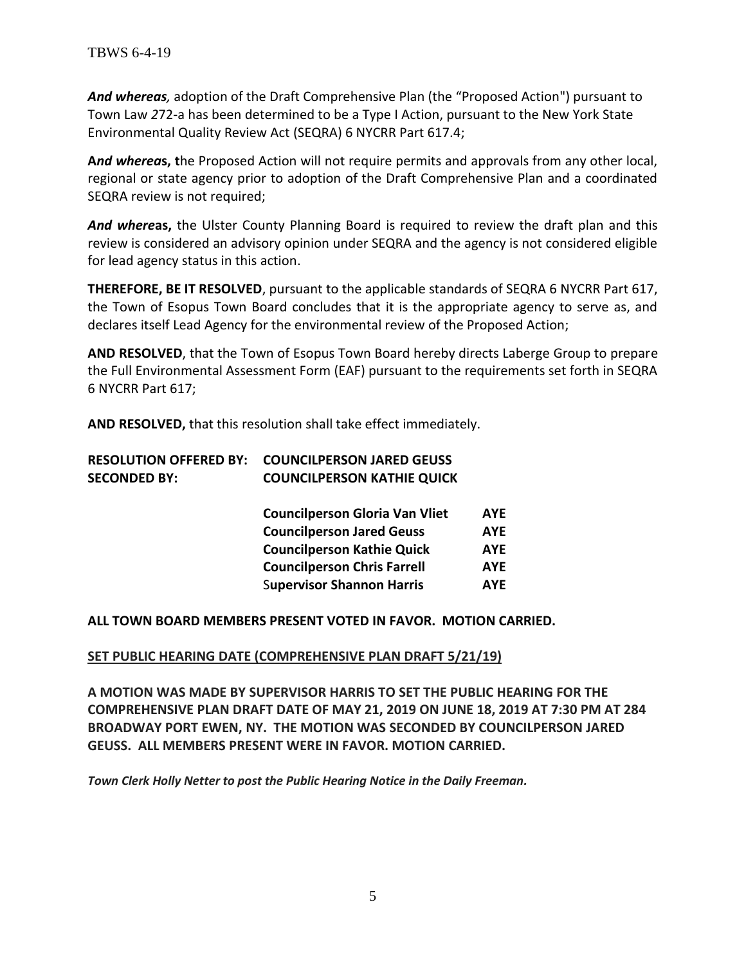*And whereas,* adoption of the Draft Comprehensive Plan (the "Proposed Action") pursuant to Town Law *2*72-a has been determined to be a Type I Action, pursuant to the New York State Environmental Quality Review Act (SEQRA) 6 NYCRR Part 617.4;

**A***nd wherea***s, t**he Proposed Action will not require permits and approvals from any other local, regional or state agency prior to adoption of the Draft Comprehensive Plan and a coordinated SEQRA review is not required;

*And where***as,** the Ulster County Planning Board is required to review the draft plan and this review is considered an advisory opinion under SEQRA and the agency is not considered eligible for lead agency status in this action.

**THEREFORE, BE IT RESOLVED**, pursuant to the applicable standards of SEQRA 6 NYCRR Part 617, the Town of Esopus Town Board concludes that it is the appropriate agency to serve as, and declares itself Lead Agency for the environmental review of the Proposed Action;

**AND RESOLVED**, that the Town of Esopus Town Board hereby directs Laberge Group to prepare the Full Environmental Assessment Form (EAF) pursuant to the requirements set forth in SEQRA 6 NYCRR Part 617;

**AND RESOLVED,** that this resolution shall take effect immediately.

| <b>RESOLUTION OFFERED BY:</b> | <b>COUNCILPERSON JARED GEUSS</b>      |            |
|-------------------------------|---------------------------------------|------------|
| <b>SECONDED BY:</b>           | <b>COUNCILPERSON KATHIE QUICK</b>     |            |
|                               | <b>Councilperson Gloria Van Vliet</b> | <b>AYE</b> |
|                               | <b>Councilperson Jared Geuss</b>      | <b>AYE</b> |
|                               | <b>Councilperson Kathie Quick</b>     | <b>AYE</b> |
|                               | <b>Councilperson Chris Farrell</b>    | <b>AYE</b> |
|                               | <b>Supervisor Shannon Harris</b>      | <b>AYE</b> |

**ALL TOWN BOARD MEMBERS PRESENT VOTED IN FAVOR. MOTION CARRIED.**

## **SET PUBLIC HEARING DATE (COMPREHENSIVE PLAN DRAFT 5/21/19)**

**A MOTION WAS MADE BY SUPERVISOR HARRIS TO SET THE PUBLIC HEARING FOR THE COMPREHENSIVE PLAN DRAFT DATE OF MAY 21, 2019 ON JUNE 18, 2019 AT 7:30 PM AT 284 BROADWAY PORT EWEN, NY. THE MOTION WAS SECONDED BY COUNCILPERSON JARED GEUSS. ALL MEMBERS PRESENT WERE IN FAVOR. MOTION CARRIED.** 

*Town Clerk Holly Netter to post the Public Hearing Notice in the Daily Freeman.*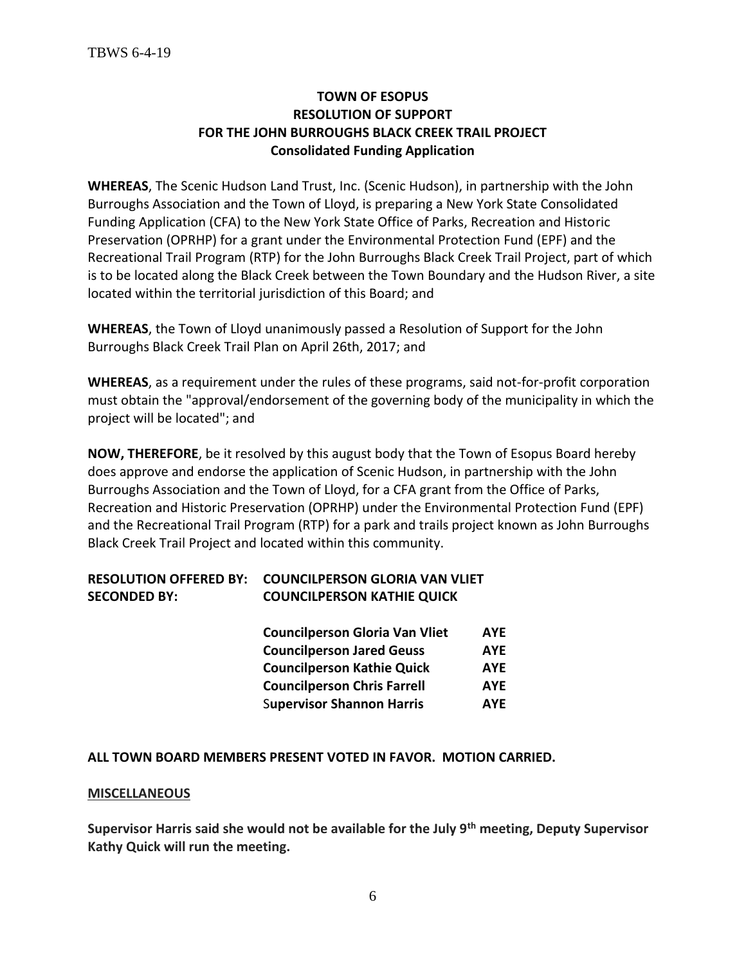# **TOWN OF ESOPUS RESOLUTION OF SUPPORT FOR THE JOHN BURROUGHS BLACK CREEK TRAIL PROJECT Consolidated Funding Application**

**WHEREAS**, The Scenic Hudson Land Trust, Inc. (Scenic Hudson), in partnership with the John Burroughs Association and the Town of Lloyd, is preparing a New York State Consolidated Funding Application (CFA) to the New York State Office of Parks, Recreation and Historic Preservation (OPRHP) for a grant under the Environmental Protection Fund (EPF) and the Recreational Trail Program (RTP) for the John Burroughs Black Creek Trail Project, part of which is to be located along the Black Creek between the Town Boundary and the Hudson River, a site located within the territorial jurisdiction of this Board; and

**WHEREAS**, the Town of Lloyd unanimously passed a Resolution of Support for the John Burroughs Black Creek Trail Plan on April 26th, 2017; and

**WHEREAS**, as a requirement under the rules of these programs, said not-for-profit corporation must obtain the "approval/endorsement of the governing body of the municipality in which the project will be located"; and

**NOW, THEREFORE**, be it resolved by this august body that the Town of Esopus Board hereby does approve and endorse the application of Scenic Hudson, in partnership with the John Burroughs Association and the Town of Lloyd, for a CFA grant from the Office of Parks, Recreation and Historic Preservation (OPRHP) under the Environmental Protection Fund (EPF) and the Recreational Trail Program (RTP) for a park and trails project known as John Burroughs Black Creek Trail Project and located within this community.

# **RESOLUTION OFFERED BY: COUNCILPERSON GLORIA VAN VLIET SECONDED BY: COUNCILPERSON KATHIE QUICK**

| <b>Councilperson Gloria Van Vliet</b> | <b>AYE</b> |
|---------------------------------------|------------|
| <b>Councilperson Jared Geuss</b>      | <b>AYE</b> |
| <b>Councilperson Kathie Quick</b>     | <b>AYE</b> |
| <b>Councilperson Chris Farrell</b>    | <b>AYE</b> |
| <b>Supervisor Shannon Harris</b>      | <b>AYE</b> |

### **ALL TOWN BOARD MEMBERS PRESENT VOTED IN FAVOR. MOTION CARRIED.**

### **MISCELLANEOUS**

**Supervisor Harris said she would not be available for the July 9th meeting, Deputy Supervisor Kathy Quick will run the meeting.**